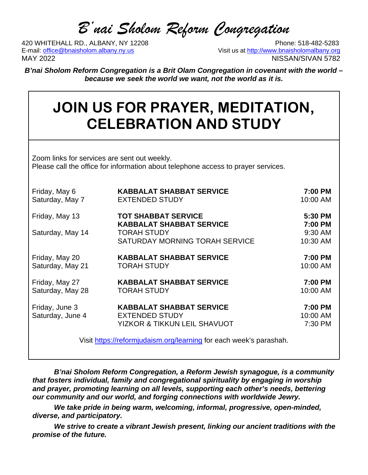# *B'nai Sholom Reform Congregation*

420 WHITEHALL RD., ALBANY, NY 12208<br>E-mail: office@bnaisholom.albany.ny.us<br>Visit us at http://www.bnaisholomalbany.org MAY 2022 NISSAN/SIVAN 5782

Visit us at [http://www.bnaisholomalbany.org](about:blank)

*B'nai Sholom Reform Congregation is a Brit Olam Congregation in covenant with the world – because we seek the world we want, not the world as it is.*

# **JOIN US FOR PRAYER, MEDITATION, CELEBRATION AND STUDY**

Zoom links for services are sent out weekly. Please call the office for information about telephone access to prayer services.

| Friday, May 6<br>Saturday, May 7 | <b>KABBALAT SHABBAT SERVICE</b><br><b>EXTENDED STUDY</b>                                        | 7:00 PM<br>10:00 AM |
|----------------------------------|-------------------------------------------------------------------------------------------------|---------------------|
| Friday, May 13                   | <b>TOT SHABBAT SERVICE</b><br><b>KABBALAT SHABBAT SERVICE</b>                                   | 5:30 PM<br>7:00 PM  |
| Saturday, May 14                 | <b>TORAH STUDY</b>                                                                              | 9:30 AM             |
|                                  | SATURDAY MORNING TORAH SERVICE                                                                  | 10:30 AM            |
| Friday, May 20                   | <b>KABBALAT SHABBAT SERVICE</b>                                                                 | 7:00 PM             |
| Saturday, May 21                 | <b>TORAH STUDY</b>                                                                              | 10:00 AM            |
| Friday, May 27                   | <b>KABBALAT SHABBAT SERVICE</b>                                                                 | 7:00 PM             |
| Saturday, May 28                 | <b>TORAH STUDY</b>                                                                              | 10:00 AM            |
| Friday, June 3                   | <b>KABBALAT SHABBAT SERVICE</b>                                                                 | 7:00 PM             |
| Saturday, June 4                 | <b>EXTENDED STUDY</b>                                                                           | 10:00 AM            |
|                                  | YIZKOR & TIKKUN LEIL SHAVUOT                                                                    | 7:30 PM             |
|                                  | . <u>Mait lette e Macfo such calois se communicación de la contra del consola</u> ción de la la |                     |

Visit [https://reformjudaism.org/learning](about:blank) for each week's parashah.

*B'nai Sholom Reform Congregation, a Reform Jewish synagogue, is a community that fosters individual, family and congregational spirituality by engaging in worship and prayer, promoting learning on all levels, supporting each other's needs, bettering our community and our world, and forging connections with worldwide Jewry.*

*We take pride in being warm, welcoming, informal, progressive, open-minded, diverse, and participatory.*

*We strive to create a vibrant Jewish present, linking our ancient traditions with the promise of the future.*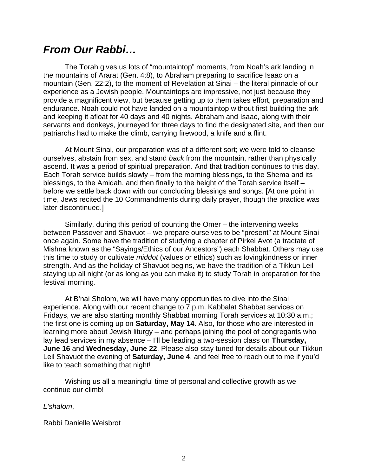## *From Our Rabbi…*

The Torah gives us lots of "mountaintop" moments, from Noah's ark landing in the mountains of Ararat (Gen. 4:8), to Abraham preparing to sacrifice Isaac on a mountain (Gen. 22:2), to the moment of Revelation at Sinai – the literal pinnacle of our experience as a Jewish people. Mountaintops are impressive, not just because they provide a magnificent view, but because getting up to them takes effort, preparation and endurance. Noah could not have landed on a mountaintop without first building the ark and keeping it afloat for 40 days and 40 nights. Abraham and Isaac, along with their servants and donkeys, journeyed for three days to find the designated site, and then our patriarchs had to make the climb, carrying firewood, a knife and a flint.

At Mount Sinai, our preparation was of a different sort; we were told to cleanse ourselves, abstain from sex, and stand *back* from the mountain, rather than physically ascend. It was a period of spiritual preparation. And that tradition continues to this day. Each Torah service builds slowly – from the morning blessings, to the Shema and its blessings, to the Amidah, and then finally to the height of the Torah service itself – before we settle back down with our concluding blessings and songs. [At one point in time, Jews recited the 10 Commandments during daily prayer, though the practice was later discontinued.]

Similarly, during this period of counting the Omer – the intervening weeks between Passover and Shavuot – we prepare ourselves to be "present" at Mount Sinai once again. Some have the tradition of studying a chapter of Pirkei Avot (a tractate of Mishna known as the "Sayings/Ethics of our Ancestors") each Shabbat. Others may use this time to study or cultivate *middot* (values or ethics) such as lovingkindness or inner strength. And as the holiday of Shavuot begins, we have the tradition of a Tikkun Leil – staying up all night (or as long as you can make it) to study Torah in preparation for the festival morning.

At B'nai Sholom, we will have many opportunities to dive into the Sinai experience. Along with our recent change to 7 p.m. Kabbalat Shabbat services on Fridays, we are also starting monthly Shabbat morning Torah services at 10:30 a.m.; the first one is coming up on **Saturday, May 14**. Also, for those who are interested in learning more about Jewish liturgy – and perhaps joining the pool of congregants who lay lead services in my absence – I'll be leading a two-session class on **Thursday, June 16** and **Wednesday, June 22**. Please also stay tuned for details about our Tikkun Leil Shavuot the evening of **Saturday, June 4**, and feel free to reach out to me if you'd like to teach something that night!

Wishing us all a meaningful time of personal and collective growth as we continue our climb!

*L'shalom*,

Rabbi Danielle Weisbrot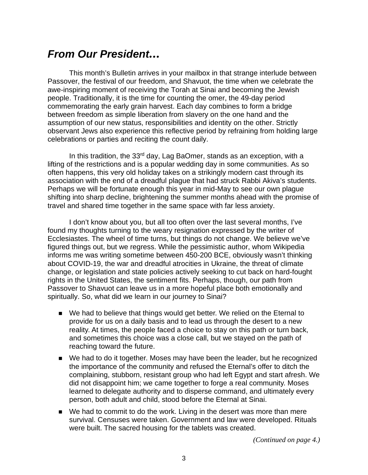## *From Our President…*

This month's Bulletin arrives in your mailbox in that strange interlude between Passover, the festival of our freedom, and Shavuot, the time when we celebrate the awe-inspiring moment of receiving the Torah at Sinai and becoming the Jewish people. Traditionally, it is the time for counting the omer, the 49-day period commemorating the early grain harvest. Each day combines to form a bridge between freedom as simple liberation from slavery on the one hand and the assumption of our new status, responsibilities and identity on the other. Strictly observant Jews also experience this reflective period by refraining from holding large celebrations or parties and reciting the count daily.

In this tradition, the  $33<sup>rd</sup>$  day, Lag BaOmer, stands as an exception, with a lifting of the restrictions and is a popular wedding day in some communities. As so often happens, this very old holiday takes on a strikingly modern cast through its association with the end of a dreadful plague that had struck Rabbi Akiva's students. Perhaps we will be fortunate enough this year in mid-May to see our own plague shifting into sharp decline, brightening the summer months ahead with the promise of travel and shared time together in the same space with far less anxiety.

I don't know about you, but all too often over the last several months, I've found my thoughts turning to the weary resignation expressed by the writer of Ecclesiastes. The wheel of time turns, but things do not change. We believe we've figured things out, but we regress. While the pessimistic author, whom Wikipedia informs me was writing sometime between 450-200 BCE, obviously wasn't thinking about COVID-19, the war and dreadful atrocities in Ukraine, the threat of climate change, or legislation and state policies actively seeking to cut back on hard-fought rights in the United States, the sentiment fits. Perhaps, though, our path from Passover to Shavuot can leave us in a more hopeful place both emotionally and spiritually. So, what did we learn in our journey to Sinai?

- We had to believe that things would get better. We relied on the Eternal to provide for us on a daily basis and to lead us through the desert to a new reality. At times, the people faced a choice to stay on this path or turn back, and sometimes this choice was a close call, but we stayed on the path of reaching toward the future.
- We had to do it together. Moses may have been the leader, but he recognized the importance of the community and refused the Eternal's offer to ditch the complaining, stubborn, resistant group who had left Egypt and start afresh. We did not disappoint him; we came together to forge a real community. Moses learned to delegate authority and to disperse command, and ultimately every person, both adult and child, stood before the Eternal at Sinai.
- We had to commit to do the work. Living in the desert was more than mere survival. Censuses were taken. Government and law were developed. Rituals were built. The sacred housing for the tablets was created.

*(Continued on page 4.)*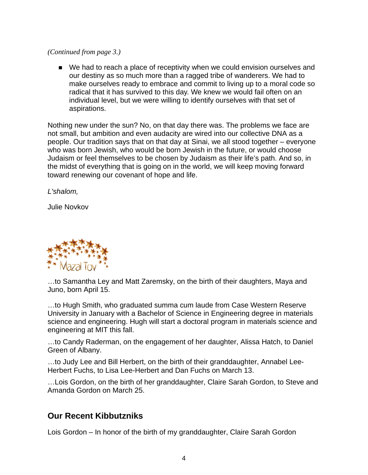#### *(Continued from page 3.)*

■ We had to reach a place of receptivity when we could envision ourselves and our destiny as so much more than a ragged tribe of wanderers. We had to make ourselves ready to embrace and commit to living up to a moral code so radical that it has survived to this day. We knew we would fail often on an individual level, but we were willing to identify ourselves with that set of aspirations.

Nothing new under the sun? No, on that day there was. The problems we face are not small, but ambition and even audacity are wired into our collective DNA as a people. Our tradition says that on that day at Sinai, we all stood together – everyone who was born Jewish, who would be born Jewish in the future, or would choose Judaism or feel themselves to be chosen by Judaism as their life's path. And so, in the midst of everything that is going on in the world, we will keep moving forward toward renewing our covenant of hope and life.

*L'shalom,*

Julie Novkov



…to Samantha Ley and Matt Zaremsky, on the birth of their daughters, Maya and Juno, born April 15.

…to Hugh Smith, who graduated summa cum laude from Case Western Reserve University in January with a Bachelor of Science in Engineering degree in materials science and engineering. Hugh will start a doctoral program in materials science and engineering at MIT this fall.

…to Candy Raderman, on the engagement of her daughter, Alissa Hatch, to Daniel Green of Albany.

…to Judy Lee and Bill Herbert, on the birth of their granddaughter, Annabel Lee-Herbert Fuchs, to Lisa Lee-Herbert and Dan Fuchs on March 13.

…Lois Gordon, on the birth of her granddaughter, Claire Sarah Gordon, to Steve and Amanda Gordon on March 25.

#### **Our Recent Kibbutzniks**

Lois Gordon – In honor of the birth of my granddaughter, Claire Sarah Gordon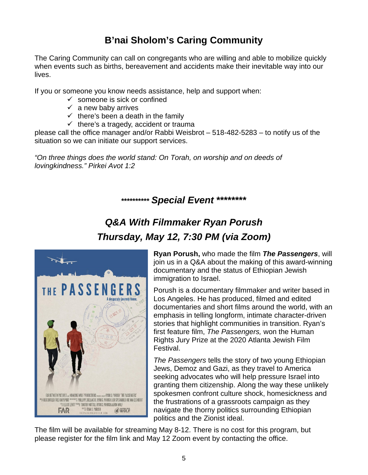## **B'nai Sholom's Caring Community**

The Caring Community can call on congregants who are willing and able to mobilize quickly when events such as births, bereavement and accidents make their inevitable way into our lives.

If you or someone you know needs assistance, help and support when:

- $\checkmark$  someone is sick or confined
- $\checkmark$  a new baby arrives
- $\checkmark$  there's been a death in the family
- $\checkmark$  there's a tragedy, accident or trauma

please call the office manager and/or Rabbi Weisbrot – 518-482-5283 – to notify us of the situation so we can initiate our support services.

*"On three things does the world stand: On Torah, on worship and on deeds of lovingkindness." Pirkei Avot 1:2*

### **\*\*\*\*\*\*\*\*\*\*** *Special Event* **\*\*\*\*\*\*\*\***

## *Q&A With Filmmaker Ryan Porush Thursday, May 12, 7:30 PM (via Zoom)*



**Ryan Porush,** who made the film *The Passengers*, will join us in a Q&A about the making of this award-winning documentary and the status of Ethiopian Jewish immigration to Israel.

Porush is a documentary filmmaker and writer based in Los Angeles. He has produced, filmed and edited documentaries and short films around the world, with an emphasis in telling longform, intimate character-driven stories that highlight communities in transition. Ryan's first feature film, *The Passengers,* won the Human Rights Jury Prize at the 2020 Atlanta Jewish Film Festival.

*The Passengers* tells the story of two young Ethiopian Jews, Demoz and Gazi, as they travel to America seeking advocates who will help pressure Israel into granting them citizenship. Along the way these unlikely spokesmen confront culture shock, homesickness and the frustrations of a grassroots campaign as they navigate the thorny politics surrounding Ethiopian politics and the Zionist ideal.

The film will be available for streaming May 8-12. There is no cost for this program, but please register for the film link and May 12 Zoom event by contacting the office.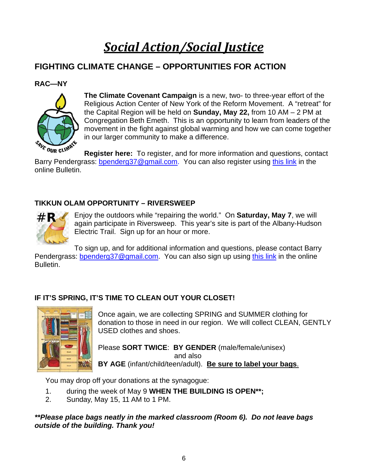# *Social Action/Social Justice*

### **FIGHTING CLIMATE CHANGE – OPPORTUNITIES FOR ACTION**

#### **RAC—NY**



**The Climate Covenant Campaign** is a new, two- to three-year effort of the Religious Action Center of New York of the Reform Movement. A "retreat" for the Capital Region will be held on **Sunday, May 22,** from 10 AM – 2 PM at Congregation Beth Emeth. This is an opportunity to learn from leaders of the movement in the fight against global warming and how we can come together in our larger community to make a difference.

**Register here:** To register, and for more information and questions, contact Barry Pendergrass: [bpenderg37@gmail.com.](mailto:bpenderg37@gmail.com) You can also register using [this link](https://racrj.wufoo.com/forms/znk72tf046oa8s/?utm_medium=email&utm_content=2022_4_7) in the online Bulletin.

#### **TIKKUN OLAM OPPORTUNITY – RIVERSWEEP**



Enjoy the outdoors while "repairing the world." On **Saturday, May 7**, we will again participate in Riversweep. This year's site is part of the Albany-Hudson Electric Trail. Sign up for an hour or more.

To sign up, and for additional information and questions, please contact Barry Pendergrass: [bpenderg37@gmail.com.](mailto:bpenderg37@gmail.com) You can also sign up using [this link](https://app.mobilecause.com/form/iL2BKg?parent_id=711939&team_id=105603&vid=rmf15) in the online Bulletin.

#### **IF IT'S SPRING, IT'S TIME TO CLEAN OUT YOUR CLOSET!**



Once again, we are collecting SPRING and SUMMER clothing for donation to those in need in our region. We will collect CLEAN, GENTLY USED clothes and shoes.

Please **SORT TWICE**: **BY GENDER** (male/female/unisex) and also **BY AGE** (infant/child/teen/adult). **Be sure to label your bags**.

You may drop off your donations at the synagogue:

- 1. during the week of May 9 **WHEN THE BUILDING IS OPEN\*\*;**
- 2. Sunday, May 15, 11 AM to 1 PM.

*\*\*Please place bags neatly in the marked classroom (Room 6). Do not leave bags outside of the building. Thank you!*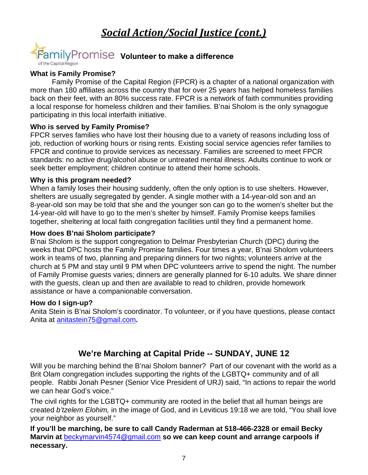## *Social Action/Social Justice (cont.)*



#### **What is Family Promise?**

Family Promise of the Capital Region (FPCR) is a chapter of a national organization with more than 180 affiliates across the country that for over 25 years has helped homeless families back on their feet, with an 80% success rate. FPCR is a network of faith communities providing a local response for homeless children and their families. B'nai Sholom is the only synagogue participating in this local interfaith initiative.

#### **Who is served by Family Promise?**

FPCR serves families who have lost their housing due to a variety of reasons including loss of job, reduction of working hours or rising rents. Existing social service agencies refer families to FPCR and continue to provide services as necessary. Families are screened to meet FPCR standards: no active drug/alcohol abuse or untreated mental illness. Adults continue to work or seek better employment; children continue to attend their home schools.

#### **Why is this program needed?**

When a family loses their housing suddenly, often the only option is to use shelters. However, shelters are usually segregated by gender. A single mother with a 14-year-old son and an 8-year-old son may be told that she and the younger son can go to the women's shelter but the 14-year-old will have to go to the men's shelter by himself. Family Promise keeps families together, sheltering at local faith congregation facilities until they find a permanent home.

#### **How does B'nai Sholom participate?**

B'nai Sholom is the support congregation to Delmar Presbyterian Church (DPC) during the weeks that DPC hosts the Family Promise families. Four times a year, B'nai Sholom volunteers work in teams of two, planning and preparing dinners for two nights; volunteers arrive at the church at 5 PM and stay until 9 PM when DPC volunteers arrive to spend the night. The number of Family Promise guests varies; dinners are generally planned for 6-10 adults. We share dinner with the guests, clean up and then are available to read to children, provide homework assistance or have a companionable conversation.

#### **How do I sign-up?**

Anita Stein is B'nai Sholom's coordinator. To volunteer, or if you have questions, please contact Anita at [anitastein75@gmail.com](mailto:anitastein75@gmail.com)**.**

#### **We're Marching at Capital Pride -- SUNDAY, JUNE 12**

Will you be marching behind the B'nai Sholom banner? Part of our covenant with the world as a Brit Olam congregation includes supporting the rights of the LGBTQ+ community and of all people. Rabbi Jonah Pesner (Senior Vice President of URJ) said, "In actions to repair the world we can hear God's voice."

The civil rights for the LGBTQ+ community are rooted in the belief that all human beings are created *b'tzelem Elohim,* in the image of God, and in Leviticus 19:18 we are told, "You shall love your neighbor as yourself."

**If you'll be marching, be sure to call Candy Raderman at 518-466-2328 or email Becky Marvin at** [beckymarvin4574@gmail.com](mailto:beckymarvin4574@gmail.com) **so we can keep count and arrange carpools if necessary.**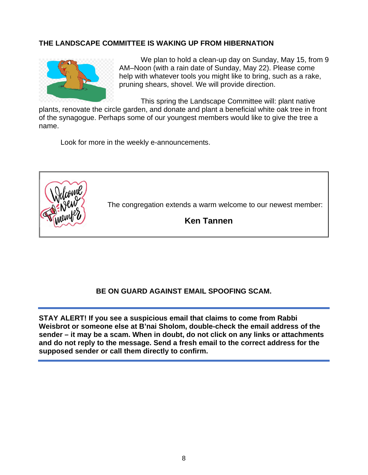#### **THE LANDSCAPE COMMITTEE IS WAKING UP FROM HIBERNATION**



We plan to hold a clean-up day on Sunday, May 15, from 9 AM–Noon (with a rain date of Sunday, May 22). Please come help with whatever tools you might like to bring, such as a rake, pruning shears, shovel. We will provide direction.

This spring the Landscape Committee will: plant native

plants, renovate the circle garden, and donate and plant a beneficial white oak tree in front of the synagogue. Perhaps some of our youngest members would like to give the tree a name.

Look for more in the weekly e-announcements.



The congregation extends a warm welcome to our newest member:

**Ken Tannen**

#### **BE ON GUARD AGAINST EMAIL SPOOFING SCAM.**

**STAY ALERT! If you see a suspicious email that claims to come from Rabbi Weisbrot or someone else at B'nai Sholom, double-check the email address of the sender – it may be a scam. When in doubt, do not click on any links or attachments and do not reply to the message. Send a fresh email to the correct address for the supposed sender or call them directly to confirm.**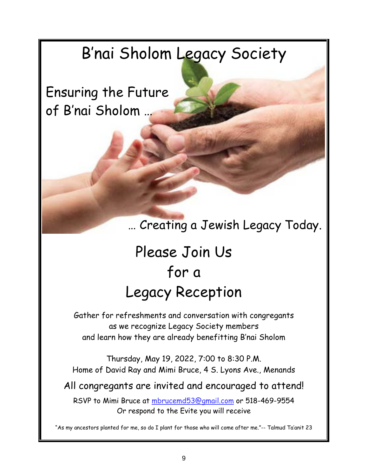# B'nai Sholom Legacy Society

Ensuring the Future of B'nai Sholom …

… Creating a Jewish Legacy Today.

# Please Join Us for a Legacy Reception

Gather for refreshments and conversation with congregants as we recognize Legacy Society members and learn how they are already benefitting B'nai Sholom

Thursday, May 19, 2022, 7:00 to 8:30 P.M. Home of David Ray and Mimi Bruce, 4 S. Lyons Ave., Menands

All congregants are invited and encouraged to attend!

RSVP to Mimi Bruce at mbrucemd53@gmail.com or 518-469-9554 Or respond to the Evite you will receive

"As my ancestors planted for me, so do I plant for those who will come after me."-- Talmud Ta'anit 23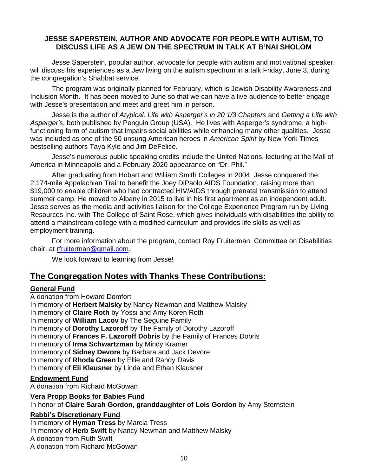#### **JESSE SAPERSTEIN, AUTHOR AND ADVOCATE FOR PEOPLE WITH AUTISM, TO DISCUSS LIFE AS A JEW ON THE SPECTRUM IN TALK AT B'NAI SHOLOM**

Jesse Saperstein, popular author, advocate for people with autism and motivational speaker, will discuss his experiences as a Jew living on the autism spectrum in a talk Friday, June 3, during the congregation's Shabbat service.

The program was originally planned for February, which is Jewish Disability Awareness and Inclusion Month. It has been moved to June so that we can have a live audience to better engage with Jesse's presentation and meet and greet him in person.

Jesse is the author of *Atypical: Life with Asperger's in 20 1/3 Chapters* and *Getting a Life with Asperger's*, both published by Penguin Group (USA). He lives with Asperger's syndrome, a highfunctioning form of autism that impairs social abilities while enhancing many other qualities. Jesse was included as one of the 50 unsung American heroes in *American Spirit* by New York Times bestselling authors Taya Kyle and Jim DeFelice.

Jesse's numerous public speaking credits include the United Nations, lecturing at the Mall of America in Minneapolis and a February 2020 appearance on "Dr. Phil."

After graduating from Hobart and William Smith Colleges in 2004, Jesse conquered the 2,174-mile Appalachian Trail to benefit the Joey DiPaolo AIDS Foundation, raising more than \$19,000 to enable children who had contracted HIV/AIDS through prenatal transmission to attend summer camp. He moved to Albany in 2015 to live in his first apartment as an independent adult. Jesse serves as the media and activities liaison for the College Experience Program run by Living Resources Inc. with The College of Saint Rose, which gives individuals with disabilities the ability to attend a mainstream college with a modified curriculum and provides life skills as well as employment training.

For more information about the program, contact Roy Fruiterman, Committee on Disabilities chair, at [rfruiterman@gmail.com.](mailto:rfruiterman@gmail.com)

We look forward to learning from Jesse!

#### **The Congregation Notes with Thanks These Contributions:**

#### **General Fund**

A donation from Howard Domfort In memory of **Herbert Malsky** by Nancy Newman and Matthew Malsky In memory of **Claire Roth** by Yossi and Amy Koren Roth In memory of **William Lacov** by The Seguine Family In memory of **Dorothy Lazoroff** by The Family of Dorothy Lazoroff In memory of **Frances F. Lazoroff Dobris** by the Family of Frances Dobris In memory of **Irma Schwartzman** by Mindy Kramer In memory of **Sidney Devore** by Barbara and Jack Devore In memory of **Rhoda Green** by Ellie and Randy Davis In memory of **Eli Klausner** by Linda and Ethan Klausner

#### **Endowment Fund**

A donation from Richard McGowan

#### **Vera Propp Books for Babies Fund**

In honor of **Claire Sarah Gordon, granddaughter of Lois Gordon** by Amy Sternstein

#### **Rabbi's Discretionary Fund**

In memory of **Hyman Tress** by Marcia Tress In memory of **Herb Swift** by Nancy Newman and Matthew Malsky A donation from Ruth Swift A donation from Richard McGowan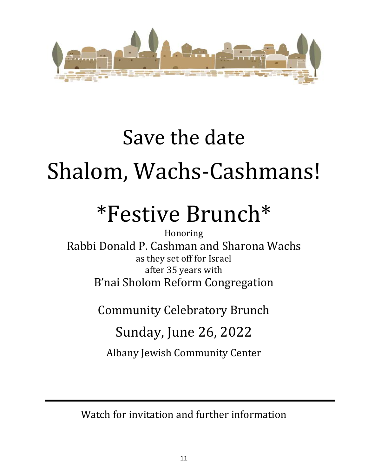

# Save the date Shalom, Wachs-Cashmans!

# \*Festive Brunch\*

Honoring Rabbi Donald P. Cashman and Sharona Wachs as they set off for Israel after 35 years with B'nai Sholom Reform Congregation

Community Celebratory Brunch

# Sunday, June 26, 2022

Albany Jewish Community Center

Watch for invitation and further information